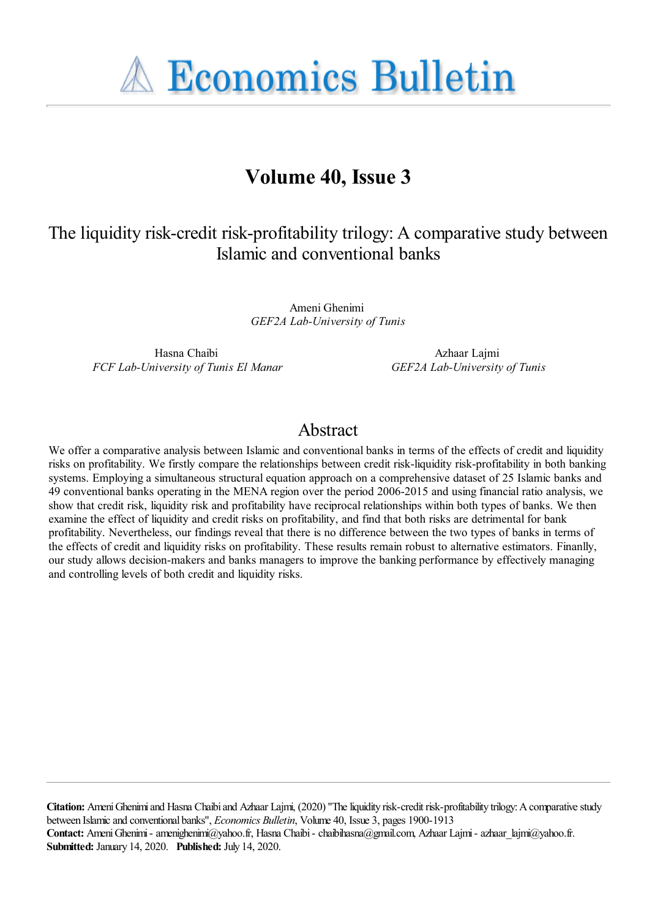**A Economics Bulletin** 

## **Volume 40, Issue 3**

## The liquidity risk-credit risk-profitability trilogy: A comparative study between Islamic and conventional banks

Ameni Ghenimi *GEF2A Lab-University of Tunis*

Hasna Chaibi *FCF Lab-University of Tunis El Manar*

Azhaar Lajmi *GEF2A Lab-University of Tunis*

## Abstract

We offer a comparative analysis between Islamic and conventional banks in terms of the effects of credit and liquidity risks on profitability. We firstly compare the relationships between credit risk-liquidity risk-profitability in both banking systems. Employing a simultaneous structural equation approach on a comprehensive dataset of 25 Islamic banks and 49 conventional banks operating in the MENA region over the period 2006-2015 and using financial ratio analysis, we show that credit risk, liquidity risk and profitability have reciprocal relationships within both types of banks. We then examine the effect of liquidity and credit risks on profitability, and find that both risks are detrimental for bank profitability. Nevertheless, our findings reveal that there is no difference between the two types of banks in terms of the effects of credit and liquidity risks on profitability. These results remain robust to alternative estimators. Finanlly, our study allows decision-makers and banks managers to improve the banking performance by effectively managing and controlling levels of both credit and liquidity risks.

**Citation:** Ameni Ghenimi and Hasna Chaibi and Azhaar Lajmi, (2020) ''The liquidity risk-credit risk-profitability trilogy: A comparative study between Islamic and conventional banks'', *Economics Bulletin*, Volume 40, Issue 3, pages 1900-1913 **Contact:** Ameni Ghenimi - amenighenimi@yahoo.fr, Hasna Chaibi - chaibihasna@gmail.com, Azhaar Lajmi - azhaar\_lajmi@yahoo.fr. **Submitted:** January 14, 2020. **Published:** July 14, 2020.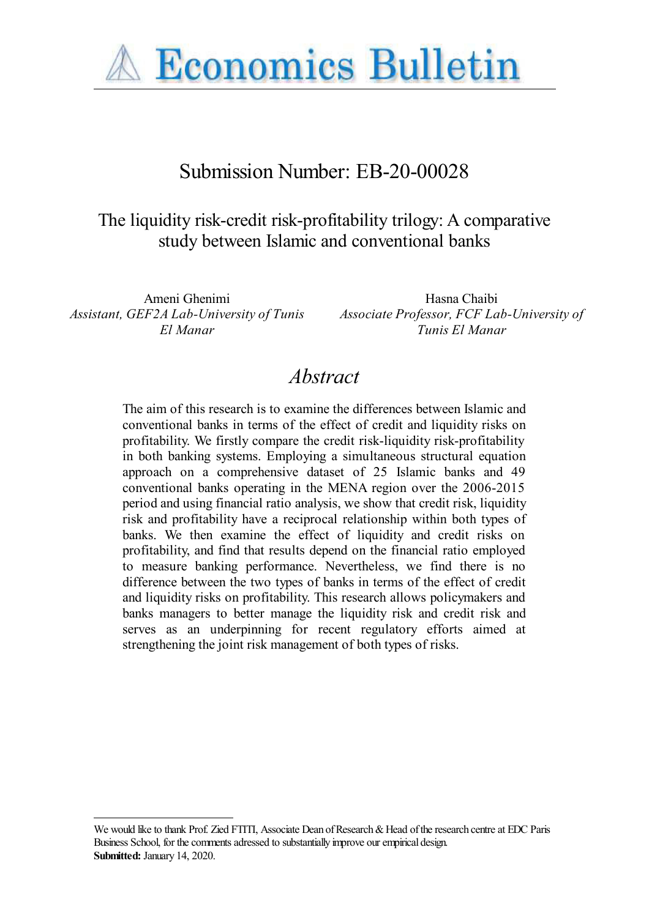

# Submission Number: EB-20-00028

## The liquidity risk-credit risk-profitability trilogy: A comparative study between Islamic and conventional banks

*Assistant, GEF2A Lab-University of Tunis El Manar*

Ameni Ghenimi **Hasna** Chaibi *Associate Professor, FCF Lab-University of Tunis El Manar*

## *Abstract*

The aim of this research is to examine the differences between Islamic and conventional banks in terms of the effect of credit and liquidity risks on profitability. We firstly compare the credit risk-liquidity risk-profitability in both banking systems. Employing a simultaneous structural equation approach on a comprehensive dataset of 25 Islamic banks and 49 conventional banks operating in the MENA region over the 2006-2015 period and using financial ratio analysis, we show that credit risk, liquidity risk and profitability have a reciprocal relationship within both types of banks. We then examine the effect of liquidity and credit risks on profitability, and find that results depend on the financial ratio employed to measure banking performance. Nevertheless, we find there is no difference between the two types of banks in terms of the effect of credit and liquidity risks on profitability. This research allows policymakers and banks managers to better manage the liquidity risk and credit risk and serves as an underpinning for recent regulatory efforts aimed at strengthening the joint risk management of both types of risks.

We would like to thank Prof. Zied FTITI, Associate Dean of Research & Head of the research centre at EDC Paris Business School, for the comments adressed to substantially improve our empirical design. **Submitted:** January 14, 2020.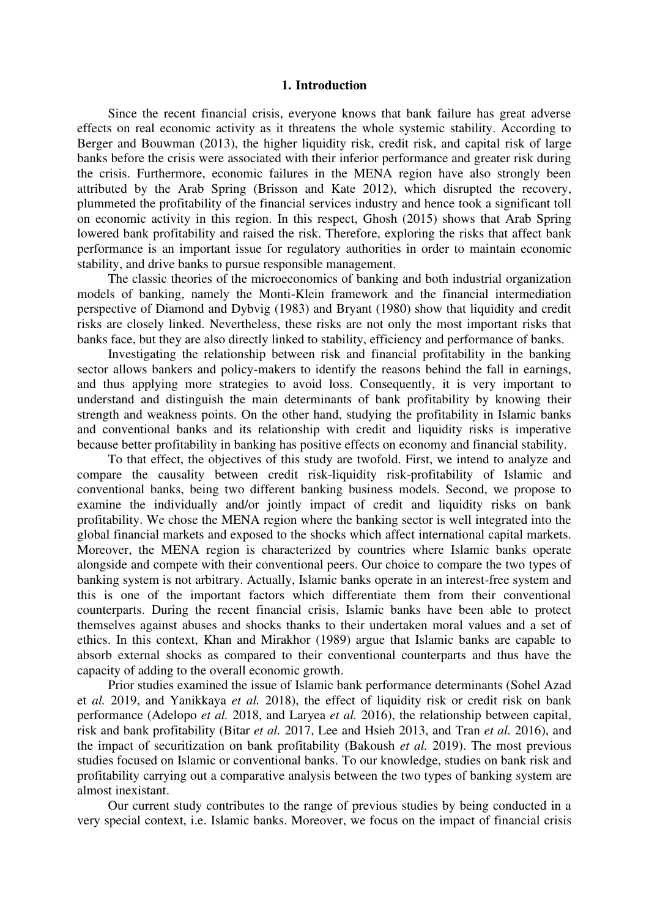#### **1. Introduction**

Since the recent financial crisis, everyone knows that bank failure has great adverse effects on real economic activity as it threatens the whole systemic stability. According to Berger and Bouwman (2013), the higher liquidity risk, credit risk, and capital risk of large banks before the crisis were associated with their inferior performance and greater risk during the crisis. Furthermore, economic failures in the MENA region have also strongly been attributed by the Arab Spring (Brisson and Kate 2012), which disrupted the recovery, plummeted the profitability of the financial services industry and hence took a significant toll on economic activity in this region. In this respect, Ghosh (2015) shows that Arab Spring lowered bank profitability and raised the risk. Therefore, exploring the risks that affect bank performance is an important issue for regulatory authorities in order to maintain economic stability, and drive banks to pursue responsible management.

The classic theories of the microeconomics of banking and both industrial organization models of banking, namely the Monti-Klein framework and the financial intermediation perspective of Diamond and Dybvig (1983) and Bryant (1980) show that liquidity and credit risks are closely linked. Nevertheless, these risks are not only the most important risks that banks face, but they are also directly linked to stability, efficiency and performance of banks.

Investigating the relationship between risk and financial profitability in the banking sector allows bankers and policy-makers to identify the reasons behind the fall in earnings, and thus applying more strategies to avoid loss. Consequently, it is very important to understand and distinguish the main determinants of bank profitability by knowing their strength and weakness points. On the other hand, studying the profitability in Islamic banks and conventional banks and its relationship with credit and liquidity risks is imperative because better profitability in banking has positive effects on economy and financial stability.

To that effect, the objectives of this study are twofold. First, we intend to analyze and compare the causality between credit risk-liquidity risk-profitability of Islamic and conventional banks, being two different banking business models. Second, we propose to examine the individually and/or jointly impact of credit and liquidity risks on bank profitability. We chose the MENA region where the banking sector is well integrated into the global financial markets and exposed to the shocks which affect international capital markets. Moreover, the MENA region is characterized by countries where Islamic banks operate alongside and compete with their conventional peers. Our choice to compare the two types of banking system is not arbitrary. Actually, Islamic banks operate in an interest-free system and this is one of the important factors which differentiate them from their conventional counterparts. During the recent financial crisis, Islamic banks have been able to protect themselves against abuses and shocks thanks to their undertaken moral values and a set of ethics. In this context, Khan and Mirakhor (1989) argue that Islamic banks are capable to absorb external shocks as compared to their conventional counterparts and thus have the capacity of adding to the overall economic growth.

Prior studies examined the issue of Islamic bank performance determinants (Sohel Azad et *al.* 2019, and Yanikkaya *et al.* 2018), the effect of liquidity risk or credit risk on bank performance (Adelopo *et al.* 2018, and Laryea *et al.* 2016), the relationship between capital, risk and bank profitability (Bitar *et al.* 2017, Lee and Hsieh 2013, and Tran *et al.* 2016), and the impact of securitization on bank profitability (Bakoush *et al.* 2019). The most previous studies focused on Islamic or conventional banks. To our knowledge, studies on bank risk and profitability carrying out a comparative analysis between the two types of banking system are almost inexistant.

Our current study contributes to the range of previous studies by being conducted in a very special context, i.e. Islamic banks. Moreover, we focus on the impact of financial crisis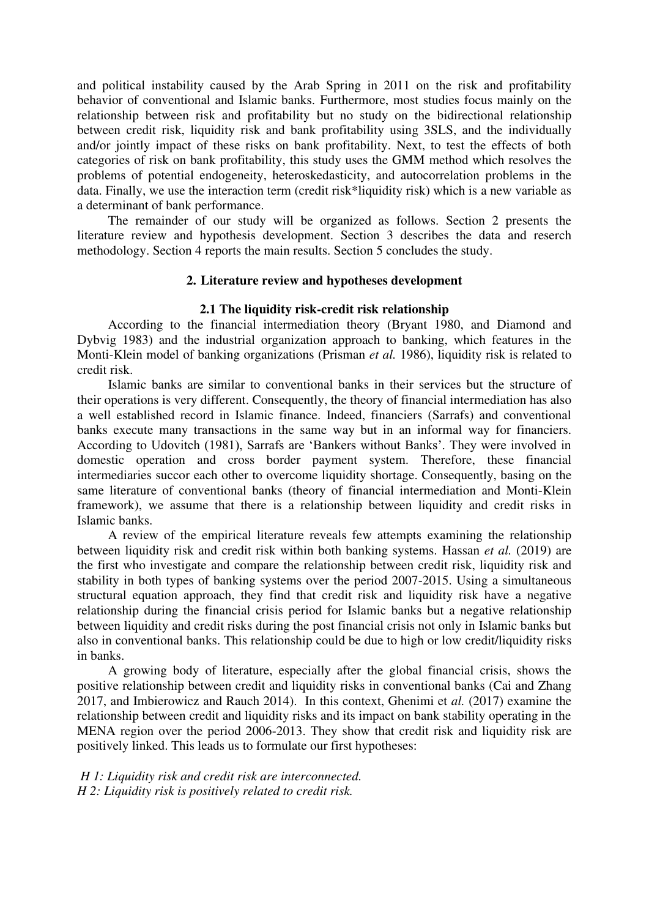and political instability caused by the Arab Spring in 2011 on the risk and profitability behavior of conventional and Islamic banks. Furthermore, most studies focus mainly on the relationship between risk and profitability but no study on the bidirectional relationship between credit risk, liquidity risk and bank profitability using 3SLS, and the individually and/or jointly impact of these risks on bank profitability. Next, to test the effects of both categories of risk on bank profitability, this study uses the GMM method which resolves the problems of potential endogeneity, heteroskedasticity, and autocorrelation problems in the data. Finally, we use the interaction term (credit risk\*liquidity risk) which is a new variable as a determinant of bank performance.

The remainder of our study will be organized as follows. Section 2 presents the literature review and hypothesis development. Section 3 describes the data and reserch methodology. Section 4 reports the main results. Section 5 concludes the study.

### **2. Literature review and hypotheses development**

#### **2.1 The liquidity risk-credit risk relationship**

According to the financial intermediation theory (Bryant 1980, and Diamond and Dybvig 1983) and the industrial organization approach to banking, which features in the Monti-Klein model of banking organizations (Prisman *et al.* 1986), liquidity risk is related to credit risk.

Islamic banks are similar to conventional banks in their services but the structure of their operations is very different. Consequently, the theory of financial intermediation has also a well established record in Islamic finance. Indeed, financiers (Sarrafs) and conventional banks execute many transactions in the same way but in an informal way for financiers. According to Udovitch (1981), Sarrafs are 'Bankers without Banks'. They were involved in domestic operation and cross border payment system. Therefore, these financial intermediaries succor each other to overcome liquidity shortage. Consequently, basing on the same literature of conventional banks (theory of financial intermediation and Monti-Klein framework), we assume that there is a relationship between liquidity and credit risks in Islamic banks.

A review of the empirical literature reveals few attempts examining the relationship between liquidity risk and credit risk within both banking systems. Hassan *et al.* (2019) are the first who investigate and compare the relationship between credit risk, liquidity risk and stability in both types of banking systems over the period 2007-2015. Using a simultaneous structural equation approach, they find that credit risk and liquidity risk have a negative relationship during the financial crisis period for Islamic banks but a negative relationship between liquidity and credit risks during the post financial crisis not only in Islamic banks but also in conventional banks. This relationship could be due to high or low credit/liquidity risks in banks.

A growing body of literature, especially after the global financial crisis, shows the positive relationship between credit and liquidity risks in conventional banks (Cai and Zhang 2017, and Imbierowicz and Rauch 2014). In this context, Ghenimi et *al.* (2017) examine the relationship between credit and liquidity risks and its impact on bank stability operating in the MENA region over the period 2006-2013. They show that credit risk and liquidity risk are positively linked. This leads us to formulate our first hypotheses:

 *H 1: Liquidity risk and credit risk are interconnected. H 2: Liquidity risk is positively related to credit risk.*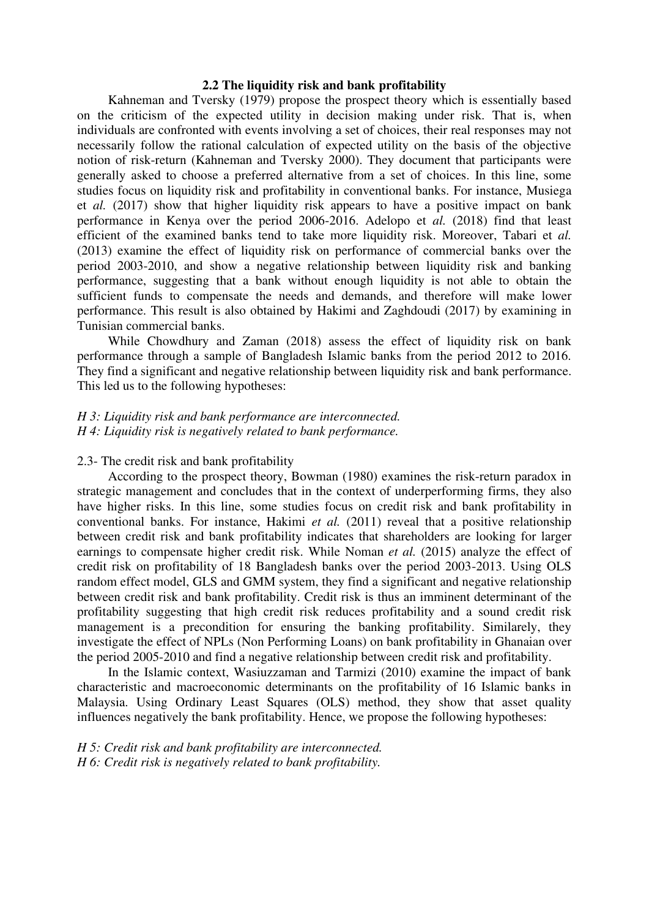#### **2.2 The liquidity risk and bank profitability**

Kahneman and Tversky (1979) propose the prospect theory which is essentially based on the criticism of the expected utility in decision making under risk. That is, when individuals are confronted with events involving a set of choices, their real responses may not necessarily follow the rational calculation of expected utility on the basis of the objective notion of risk-return (Kahneman and Tversky 2000). They document that participants were generally asked to choose a preferred alternative from a set of choices. In this line, some studies focus on liquidity risk and profitability in conventional banks. For instance, Musiega et *al.* (2017) show that higher liquidity risk appears to have a positive impact on bank performance in Kenya over the period 2006-2016. Adelopo et *al.* (2018) find that least efficient of the examined banks tend to take more liquidity risk. Moreover, Tabari et *al.* (2013) examine the effect of liquidity risk on performance of commercial banks over the period 2003-2010, and show a negative relationship between liquidity risk and banking performance, suggesting that a bank without enough liquidity is not able to obtain the sufficient funds to compensate the needs and demands, and therefore will make lower performance. This result is also obtained by Hakimi and Zaghdoudi (2017) by examining in Tunisian commercial banks.

While Chowdhury and Zaman (2018) assess the effect of liquidity risk on bank performance through a sample of Bangladesh Islamic banks from the period 2012 to 2016. They find a significant and negative relationship between liquidity risk and bank performance. This led us to the following hypotheses:

## *H 3: Liquidity risk and bank performance are interconnected. H 4: Liquidity risk is negatively related to bank performance.*

### 2.3- The credit risk and bank profitability

According to the prospect theory, Bowman (1980) examines the risk-return paradox in strategic management and concludes that in the context of underperforming firms, they also have higher risks. In this line, some studies focus on credit risk and bank profitability in conventional banks. For instance, Hakimi *et al.* (2011) reveal that a positive relationship between credit risk and bank profitability indicates that shareholders are looking for larger earnings to compensate higher credit risk. While Noman *et al.* (2015) analyze the effect of credit risk on profitability of 18 Bangladesh banks over the period 2003-2013. Using OLS random effect model, GLS and GMM system, they find a significant and negative relationship between credit risk and bank profitability. Credit risk is thus an imminent determinant of the profitability suggesting that high credit risk reduces profitability and a sound credit risk management is a precondition for ensuring the banking profitability. Similarely, they investigate the effect of NPLs (Non Performing Loans) on bank profitability in Ghanaian over the period 2005-2010 and find a negative relationship between credit risk and profitability.

In the Islamic context, Wasiuzzaman and Tarmizi (2010) examine the impact of bank characteristic and macroeconomic determinants on the profitability of 16 Islamic banks in Malaysia. Using Ordinary Least Squares (OLS) method, they show that asset quality influences negatively the bank profitability. Hence, we propose the following hypotheses:

*H 5: Credit risk and bank profitability are interconnected. H 6: Credit risk is negatively related to bank profitability.*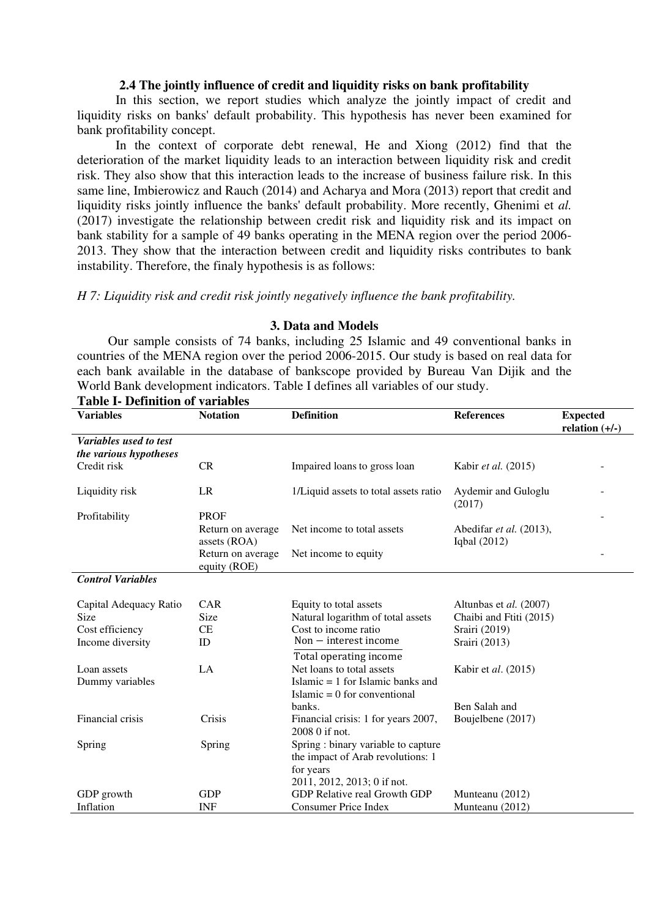#### **2.4 The jointly influence of credit and liquidity risks on bank profitability**

In this section, we report studies which analyze the jointly impact of credit and liquidity risks on banks' default probability. This hypothesis has never been examined for bank profitability concept.

In the context of corporate debt renewal, He and Xiong (2012) find that the deterioration of the market liquidity leads to an interaction between liquidity risk and credit risk. They also show that this interaction leads to the increase of business failure risk. In this same line, Imbierowicz and Rauch (2014) and Acharya and Mora (2013) report that credit and liquidity risks jointly influence the banks' default probability. More recently, Ghenimi et *al.* (2017) investigate the relationship between credit risk and liquidity risk and its impact on bank stability for a sample of 49 banks operating in the MENA region over the period 2006- 2013. They show that the interaction between credit and liquidity risks contributes to bank instability. Therefore, the finaly hypothesis is as follows:

*H 7: Liquidity risk and credit risk jointly negatively influence the bank profitability.* 

| <b>Table I- Definition of variables</b> |                                   |                                                       |                                         |                                     |  |  |  |  |
|-----------------------------------------|-----------------------------------|-------------------------------------------------------|-----------------------------------------|-------------------------------------|--|--|--|--|
| <b>Variables</b>                        | <b>Notation</b>                   | <b>Definition</b>                                     | <b>References</b>                       | <b>Expected</b><br>relation $(+/-)$ |  |  |  |  |
| Variables used to test                  |                                   |                                                       |                                         |                                     |  |  |  |  |
| the various hypotheses                  |                                   |                                                       |                                         |                                     |  |  |  |  |
| Credit risk                             | <b>CR</b>                         | Impaired loans to gross loan                          | Kabir et al. (2015)                     |                                     |  |  |  |  |
| Liquidity risk                          | LR                                | 1/Liquid assets to total assets ratio                 | Aydemir and Guloglu<br>(2017)           |                                     |  |  |  |  |
| Profitability                           | <b>PROF</b>                       |                                                       |                                         |                                     |  |  |  |  |
|                                         | Return on average<br>assets (ROA) | Net income to total assets                            | Abedifar et al. (2013),<br>Iqbal (2012) |                                     |  |  |  |  |
|                                         | Return on average<br>equity (ROE) | Net income to equity                                  |                                         |                                     |  |  |  |  |
| <b>Control Variables</b>                |                                   |                                                       |                                         |                                     |  |  |  |  |
|                                         |                                   |                                                       |                                         |                                     |  |  |  |  |
| Capital Adequacy Ratio                  | CAR                               | Equity to total assets                                | Altunbas et al. (2007)                  |                                     |  |  |  |  |
| Size                                    | Size                              | Natural logarithm of total assets                     | Chaibi and Ftiti (2015)                 |                                     |  |  |  |  |
| Cost efficiency                         | CE                                | Cost to income ratio                                  | Srairi (2019)                           |                                     |  |  |  |  |
| Income diversity                        | ID                                | $Non - interest income$                               | Srairi (2013)                           |                                     |  |  |  |  |
|                                         |                                   | Total operating income                                |                                         |                                     |  |  |  |  |
| Loan assets                             | LA                                | Net loans to total assets                             | Kabir et al. (2015)                     |                                     |  |  |  |  |
| Dummy variables                         |                                   | Islamic $= 1$ for Islamic banks and                   |                                         |                                     |  |  |  |  |
|                                         |                                   | Islamic = $0$ for conventional                        |                                         |                                     |  |  |  |  |
|                                         |                                   | banks.                                                | Ben Salah and                           |                                     |  |  |  |  |
| Financial crisis                        | Crisis                            | Financial crisis: 1 for years 2007,<br>2008 0 if not. | Boujelbene (2017)                       |                                     |  |  |  |  |
| Spring                                  | Spring                            | Spring : binary variable to capture                   |                                         |                                     |  |  |  |  |
|                                         |                                   | the impact of Arab revolutions: 1                     |                                         |                                     |  |  |  |  |
|                                         |                                   | for years                                             |                                         |                                     |  |  |  |  |
|                                         |                                   | 2011, 2012, 2013; 0 if not.                           |                                         |                                     |  |  |  |  |
| GDP growth                              | <b>GDP</b>                        | GDP Relative real Growth GDP                          | Munteanu (2012)                         |                                     |  |  |  |  |
| Inflation                               | <b>INF</b>                        | Consumer Price Index                                  | Munteanu (2012)                         |                                     |  |  |  |  |
|                                         |                                   |                                                       |                                         |                                     |  |  |  |  |

#### **3. Data and Models**

Our sample consists of 74 banks, including 25 Islamic and 49 conventional banks in countries of the MENA region over the period 2006-2015. Our study is based on real data for each bank available in the database of bankscope provided by Bureau Van Dijik and the World Bank development indicators. Table I defines all variables of our study.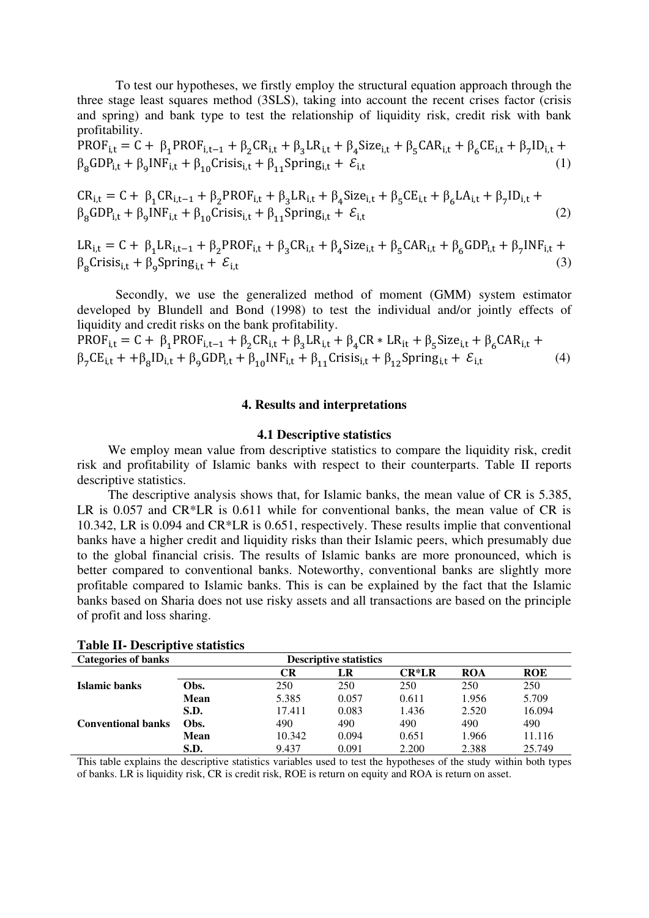To test our hypotheses, we firstly employ the structural equation approach through the three stage least squares method (3SLS), taking into account the recent crises factor (crisis and spring) and bank type to test the relationship of liquidity risk, credit risk with bank profitability.

$$
PROFi,t = C + \beta_1 PROFi,t-1 + \beta_2 CRi,t + \beta_3 LRi,t + \beta_4 Sizei,t + \beta_5 CARi,t + \beta_6 CEi,t + \beta_7 IDi,t + \beta_8 GDPi,t + \beta_9 INFi,t + \beta_{10} Crisisi,t + \beta_{11} Springi,t + \mathcal{E}i,t
$$
\n(1)

$$
CR_{i,t} = C + \beta_1 CR_{i,t-1} + \beta_2 PROF_{i,t} + \beta_3 LR_{i,t} + \beta_4 Size_{i,t} + \beta_5 CE_{i,t} + \beta_6 LA_{i,t} + \beta_7 ID_{i,t} + \beta_8 GDP_{i,t} + \beta_9 INF_{i,t} + \beta_{10} Crisis_{i,t} + \beta_{11} Spring_{i,t} + \mathcal{E}_{i,t}
$$
\n(2)

 $LR_{i,t} = C + \beta_1 LR_{i,t-1} + \beta_2 PROF_{i,t} + \beta_3 CR_{i,t} + \beta_4 Size_{i,t} + \beta_5 CAR_{i,t} + \beta_6 GDP_{i,t} + \beta_7 INF_{i,t} +$  $\beta_8$ Crisis<sub>i,t</sub> +  $\beta_9$ Spring<sub>i,t</sub> +  $\mathcal{E}_{i,t}$  (3)

Secondly, we use the generalized method of moment (GMM) system estimator developed by Blundell and Bond (1998) to test the individual and/or jointly effects of liquidity and credit risks on the bank profitability.

 $PROF_{i,t} = C + \beta_1 PROF_{i,t-1} + \beta_2 CR_{i,t} + \beta_3 LR_{i,t} + \beta_4 CR * LR_{it} + \beta_5 Size_{i,t} + \beta_6 CAR_{i,t} +$  $\beta_7 CE_{i,t} + \beta_8 ID_{i,t} + \beta_9 GDP_{i,t} + \beta_{10} INF_{i,t} + \beta_{11} Cristis_{i,t} + \beta_{12} Spring_{i,t} + \mathcal{E}_{i,t}$  (4)

#### **4. Results and interpretations**

#### **4.1 Descriptive statistics**

We employ mean value from descriptive statistics to compare the liquidity risk, credit risk and profitability of Islamic banks with respect to their counterparts. Table II reports descriptive statistics.

The descriptive analysis shows that, for Islamic banks, the mean value of CR is 5.385, LR is 0.057 and CR\*LR is 0.611 while for conventional banks, the mean value of CR is 10.342, LR is 0.094 and CR\*LR is 0.651, respectively. These results implie that conventional banks have a higher credit and liquidity risks than their Islamic peers, which presumably due to the global financial crisis. The results of Islamic banks are more pronounced, which is better compared to conventional banks. Noteworthy, conventional banks are slightly more profitable compared to Islamic banks. This is can be explained by the fact that the Islamic banks based on Sharia does not use risky assets and all transactions are based on the principle of profit and loss sharing.

| <b>Categories of banks</b> |      |        | <b>Descriptive statistics</b> |         |            |            |
|----------------------------|------|--------|-------------------------------|---------|------------|------------|
|                            |      | CR     | LR                            | $CR*LR$ | <b>ROA</b> | <b>ROE</b> |
| Islamic banks              | Obs. | 250    | 250                           | 250     | 250        | 250        |
|                            | Mean | 5.385  | 0.057                         | 0.611   | 1.956      | 5.709      |
|                            | S.D. | 17.411 | 0.083                         | 1.436   | 2.520      | 16.094     |
| <b>Conventional banks</b>  | Obs. | 490    | 490                           | 490     | 490        | 490        |
|                            | Mean | 10.342 | 0.094                         | 0.651   | 1.966      | 11.116     |
|                            | S.D. | 9.437  | 0.091                         | 2.200   | 2.388      | 25.749     |

#### **Table II- Descriptive statistics**

This table explains the descriptive statistics variables used to test the hypotheses of the study within both types of banks. LR is liquidity risk, CR is credit risk, ROE is return on equity and ROA is return on asset.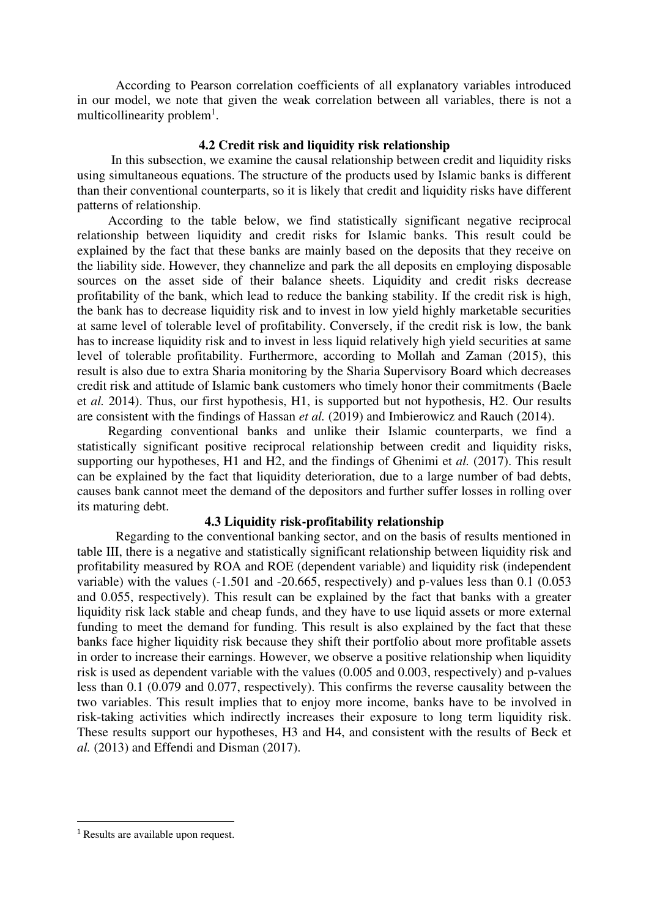According to Pearson correlation coefficients of all explanatory variables introduced in our model, we note that given the weak correlation between all variables, there is not a multicollinearity problem<sup>1</sup>.

### **4.2 Credit risk and liquidity risk relationship**

In this subsection, we examine the causal relationship between credit and liquidity risks using simultaneous equations. The structure of the products used by Islamic banks is different than their conventional counterparts, so it is likely that credit and liquidity risks have different patterns of relationship.

According to the table below, we find statistically significant negative reciprocal relationship between liquidity and credit risks for Islamic banks. This result could be explained by the fact that these banks are mainly based on the deposits that they receive on the liability side. However, they channelize and park the all deposits en employing disposable sources on the asset side of their balance sheets. Liquidity and credit risks decrease profitability of the bank, which lead to reduce the banking stability. If the credit risk is high, the bank has to decrease liquidity risk and to invest in low yield highly marketable securities at same level of tolerable level of profitability. Conversely, if the credit risk is low, the bank has to increase liquidity risk and to invest in less liquid relatively high yield securities at same level of tolerable profitability. Furthermore, according to Mollah and Zaman (2015), this result is also due to extra Sharia monitoring by the Sharia Supervisory Board which decreases credit risk and attitude of Islamic bank customers who timely honor their commitments (Baele et *al.* 2014). Thus, our first hypothesis, H1, is supported but not hypothesis, H2. Our results are consistent with the findings of Hassan *et al.* (2019) and Imbierowicz and Rauch (2014).

Regarding conventional banks and unlike their Islamic counterparts, we find a statistically significant positive reciprocal relationship between credit and liquidity risks, supporting our hypotheses, H1 and H2, and the findings of Ghenimi et *al.* (2017). This result can be explained by the fact that liquidity deterioration, due to a large number of bad debts, causes bank cannot meet the demand of the depositors and further suffer losses in rolling over its maturing debt.

## **4.3 Liquidity risk-profitability relationship**

Regarding to the conventional banking sector, and on the basis of results mentioned in table III, there is a negative and statistically significant relationship between liquidity risk and profitability measured by ROA and ROE (dependent variable) and liquidity risk (independent variable) with the values (-1.501 and -20.665, respectively) and p-values less than 0.1 (0.053 and 0.055, respectively). This result can be explained by the fact that banks with a greater liquidity risk lack stable and cheap funds, and they have to use liquid assets or more external funding to meet the demand for funding. This result is also explained by the fact that these banks face higher liquidity risk because they shift their portfolio about more profitable assets in order to increase their earnings. However, we observe a positive relationship when liquidity risk is used as dependent variable with the values (0.005 and 0.003, respectively) and p-values less than 0.1 (0.079 and 0.077, respectively). This confirms the reverse causality between the two variables. This result implies that to enjoy more income, banks have to be involved in risk-taking activities which indirectly increases their exposure to long term liquidity risk. These results support our hypotheses, H3 and H4, and consistent with the results of Beck et *al.* (2013) and Effendi and Disman (2017).

<sup>&</sup>lt;sup>1</sup> Results are available upon request.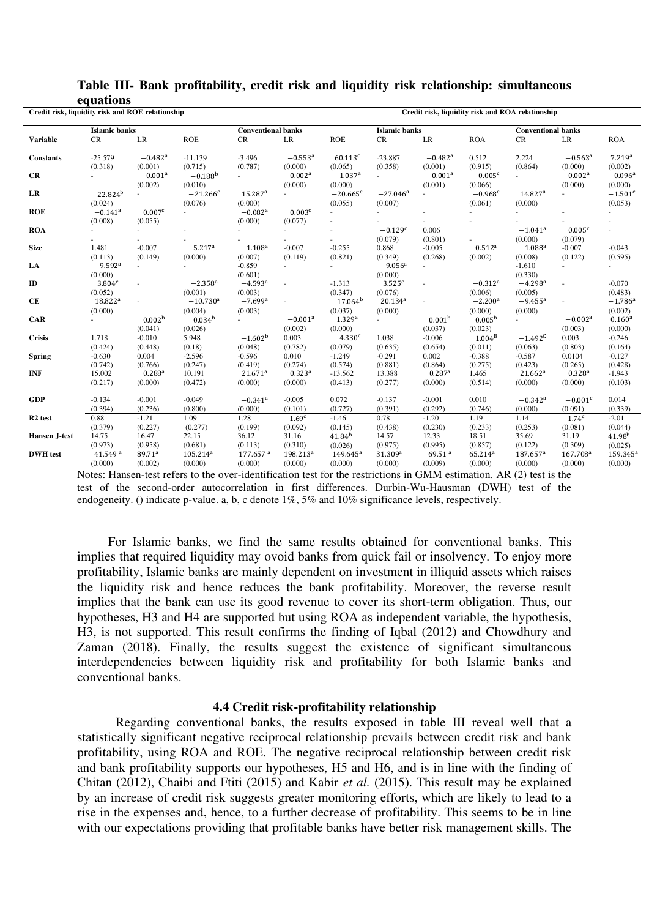| $-0.00000000000$<br>Credit risk, liquidity risk and ROE relationship |                                           |                                  |                                            |                                            |                                  | Credit risk, liquidity risk and ROA relationship |                                           |                                          |                                           |                                              |                                            |                                  |
|----------------------------------------------------------------------|-------------------------------------------|----------------------------------|--------------------------------------------|--------------------------------------------|----------------------------------|--------------------------------------------------|-------------------------------------------|------------------------------------------|-------------------------------------------|----------------------------------------------|--------------------------------------------|----------------------------------|
|                                                                      | <b>Islamic banks</b>                      |                                  |                                            | <b>Conventional banks</b>                  |                                  |                                                  | <b>Islamic</b> banks                      |                                          |                                           | <b>Conventional banks</b>                    |                                            |                                  |
| <b>Variable</b>                                                      | CR                                        | $\rm LR$                         | <b>ROE</b>                                 | CR                                         | $\rm LR$                         | <b>ROE</b>                                       | CR                                        | $\rm LR$                                 | <b>ROA</b>                                | CR                                           | LR                                         | <b>ROA</b>                       |
| <b>Constants</b>                                                     | $-25.579$<br>(0.318)                      | $-0.482$ <sup>a</sup><br>(0.001) | $-11.139$<br>(0.715)                       | $-3.496$<br>(0.787)                        | $-0.553$ <sup>a</sup><br>(0.000) | 60.113c<br>(0.065)                               | $-23.887$<br>(0.358)                      | $-0.482$ <sup>a</sup><br>(0.001)         | 0.512<br>(0.915)                          | 2.224<br>(0.864)                             | $-0.563$ <sup>a</sup><br>(0.000)           | 7.219a<br>(0.002)                |
| CR                                                                   |                                           | $-0.001$ <sup>a</sup><br>(0.002) | $-0.188^{b}$<br>(0.010)                    | $\sim$                                     | 0.002 <sup>a</sup><br>(0.000)    | $-1.037$ <sup>a</sup><br>(0.000)                 | $\sim$                                    | $-0.001$ <sup>a</sup><br>(0.001)         | $-0.005c$<br>(0.066)                      |                                              | 0.002 <sup>a</sup><br>(0.000)              | $-0.096$ <sup>a</sup><br>(0.000) |
| LR                                                                   | $-22.824^{b}$<br>(0.024)                  |                                  | $-21.266c$<br>(0.076)                      | 15.287 <sup>a</sup><br>(0.000)             |                                  | $-20.665$ <sup>c</sup><br>(0.055)                | $-27.046$ <sup>a</sup><br>(0.007)         |                                          | $-0.968$ <sup>c</sup><br>(0.061)          | 14.827 <sup>a</sup><br>(0.000)               |                                            | $-1.501c$<br>(0.053)             |
| <b>ROE</b>                                                           | $-0.141$ <sup>a</sup><br>(0.008)          | 0.007 <sup>c</sup><br>(0.055)    |                                            | $-0.082$ <sup>a</sup><br>(0.000)           | 0.003 <sup>c</sup><br>(0.077)    |                                                  |                                           |                                          |                                           |                                              |                                            |                                  |
| <b>ROA</b>                                                           |                                           |                                  |                                            |                                            |                                  |                                                  | $-0.129$ <sup>c</sup><br>(0.079)          | 0.006<br>(0.801)                         |                                           | $-1.041$ <sup>a</sup><br>(0.000)             | 0.005 <sup>c</sup><br>(0.079)              |                                  |
| <b>Size</b>                                                          | 1.481<br>(0.113)                          | $-0.007$<br>(0.149)              | 5.217 <sup>a</sup><br>(0.000)              | $-1.108$ <sup>a</sup><br>(0.007)           | $-0.007$<br>(0.119)              | $-0.255$<br>(0.821)                              | 0.868<br>(0.349)                          | $-0.005$<br>(0.268)                      | $0.512^{a}$<br>(0.002)                    | $-1.088$ <sup>a</sup><br>(0.008)             | $-0.007$<br>(0.122)                        | $-0.043$<br>(0.595)              |
| LA                                                                   | $-9.592$ <sup>a</sup><br>(0.000)          |                                  |                                            | $-0.859$<br>(0.601)                        |                                  |                                                  | $-9.056$ <sup>a</sup><br>(0.000)          |                                          |                                           | $-1.610$<br>(0.330)                          |                                            |                                  |
| ID                                                                   | 3.804 <sup>c</sup><br>(0.052)             |                                  | $-2.358$ <sup>a</sup><br>(0.001)           | $-4.593$ <sup>a</sup><br>(0.003)           |                                  | $-1.313$<br>(0.347)                              | $3.525$ <sup>c</sup><br>(0.076)           |                                          | $-0.312$ <sup>a</sup><br>(0.006)          | $-4.298$ <sup>a</sup><br>(0.005)             | $\sim$                                     | $-0.070$<br>(0.483)              |
| CE                                                                   | 18.822 <sup>a</sup><br>(0.000)            |                                  | $-10.730$ <sup>a</sup><br>(0.004)          | $-7.699$ <sup>a</sup><br>(0.003)           |                                  | $-17.064^{\rm b}$<br>(0.037)                     | $20.134^{a}$<br>(0.000)                   |                                          | $-2.200a$<br>(0.000)                      | $-9.455^{\rm a}$<br>(0.000)                  |                                            | $-1.786$ <sup>a</sup><br>(0.002) |
| <b>CAR</b>                                                           |                                           | 0.002 <sup>b</sup><br>(0.041)    | $0.034^{b}$<br>(0.026)                     | ÷.                                         | $-0.001$ <sup>a</sup><br>(0.002) | 1.329 <sup>a</sup><br>(0.000)                    | $\omega$                                  | 0.001 <sup>b</sup><br>(0.037)            | 0.005 <sup>b</sup><br>(0.023)             | $\sim$                                       | $-0.002a$<br>(0.003)                       | $0.160^{a}$<br>(0.000)           |
| <b>Crisis</b>                                                        | 1.718<br>(0.424)                          | $-0.010$<br>(0.448)              | 5.948<br>(0.18)                            | $-1.602b$<br>(0.048)                       | 0.003<br>(0.782)                 | $-4.330c$<br>(0.079)                             | 1.038<br>(0.635)                          | $-0.006$<br>(0.654)                      | $1.004^{\rm B}$<br>(0.011)                | $-1.492^C$<br>(0.063)                        | 0.003<br>(0.803)                           | $-0.246$<br>(0.164)              |
| <b>Spring</b>                                                        | $-0.630$<br>(0.742)                       | 0.004<br>(0.766)                 | $-2.596$<br>(0.247)                        | $-0.596$<br>(0.419)                        | 0.010<br>(0.274)                 | $-1.249$<br>(0.574)                              | $-0.291$<br>(0.881)                       | 0.002<br>(0.864)                         | $-0.388$<br>(0.275)                       | $-0.587$<br>(0.423)                          | 0.0104<br>(0.265)                          | $-0.127$<br>(0.428)              |
| <b>INF</b>                                                           | 15.002<br>(0.217)                         | $0.288^{a}$<br>(0.000)           | 10.191<br>(0.472)                          | 21.671 <sup>a</sup><br>(0.000)             | $0.323^{a}$<br>(0.000)           | $-13.562$<br>(0.413)                             | 13.388<br>(0.277)                         | $0.287$ <sup>a</sup><br>(0.000)          | 1.465<br>(0.514)                          | 21.662 <sup>a</sup><br>(0.000)               | 0.328 <sup>a</sup><br>(0.000)              | $-1.943$<br>(0.103)              |
| <b>GDP</b>                                                           | $-0.134$<br>(0.394)                       | $-0.001$<br>(0.236)              | $-0.049$<br>(0.800)                        | $-0.341$ <sup>a</sup><br>(0.000)           | $-0.005$<br>(0.101)              | 0.072<br>(0.727)                                 | $-0.137$<br>(0.391)                       | $-0.001$<br>(0.292)                      | 0.010<br>(0.746)                          | $-0.342$ <sup>a</sup><br>(0.000)             | $-0.001c$<br>(0.091)                       | 0.014<br>(0.339)                 |
| R <sub>2</sub> test                                                  | 0.88<br>(0.379)                           | $-1.21$<br>(0.227)               | 1.09<br>(0.277)                            | 1.28<br>(0.199)                            | $-1.69c$<br>(0.092)              | $-1.46$<br>(0.145)                               | 0.78<br>(0.438)                           | $-1.20$<br>(0.230)                       | 1.19<br>(0.233)                           | 1.14<br>(0.253)                              | $-1.74^c$<br>(0.081)                       | $-2.01$<br>(0.044)               |
| Hansen J-test                                                        | 14.75                                     | 16.47                            | 22.15                                      | 36.12                                      | 31.16                            | $41.84^{b}$                                      | 14.57                                     | 12.33                                    | 18.51                                     | 35.69                                        | 31.19                                      | 41.98 <sup>b</sup>               |
| <b>DWH</b> test                                                      | (0.973)<br>41.549 <sup>a</sup><br>(0.000) | (0.958)<br>89.71ª<br>(0.002)     | (0.681)<br>105.214 <sup>a</sup><br>(0.000) | (0.113)<br>177.657 <sup>a</sup><br>(0.000) | (0.310)<br>198.213ª<br>(0.000)   | (0.026)<br>$149.645^a$<br>(0.000)                | (0.975)<br>31.309 <sup>a</sup><br>(0.000) | (0.995)<br>69.51 <sup>a</sup><br>(0.009) | (0.857)<br>65.214 <sup>a</sup><br>(0.000) | (0.122)<br>$187.657$ <sup>a</sup><br>(0.000) | (0.309)<br>167.708 <sup>a</sup><br>(0.000) | (0.025)<br>159.345<br>(0.000)    |

## **Table III- Bank profitability, credit risk and liquidity risk relationship: simultaneous equations**

Notes: Hansen-test refers to the over-identification test for the restrictions in GMM estimation. AR (2) test is the test of the second-order autocorrelation in first differences. Durbin-Wu-Hausman (DWH) test of the endogeneity. () indicate p-value. a, b, c denote 1%, 5% and 10% significance levels, respectively.

For Islamic banks, we find the same results obtained for conventional banks. This implies that required liquidity may ovoid banks from quick fail or insolvency. To enjoy more profitability, Islamic banks are mainly dependent on investment in illiquid assets which raises the liquidity risk and hence reduces the bank profitability. Moreover, the reverse result implies that the bank can use its good revenue to cover its short-term obligation. Thus, our hypotheses, H3 and H4 are supported but using ROA as independent variable, the hypothesis, H3, is not supported. This result confirms the finding of Iqbal (2012) and Chowdhury and Zaman (2018). Finally, the results suggest the existence of significant simultaneous interdependencies between liquidity risk and profitability for both Islamic banks and conventional banks.

#### **4.4 Credit risk-profitability relationship**

Regarding conventional banks, the results exposed in table III reveal well that a statistically significant negative reciprocal relationship prevails between credit risk and bank profitability, using ROA and ROE. The negative reciprocal relationship between credit risk and bank profitability supports our hypotheses, H5 and H6, and is in line with the finding of Chitan (2012), Chaibi and Ftiti (2015) and Kabir *et al.* (2015). This result may be explained by an increase of credit risk suggests greater monitoring efforts, which are likely to lead to a rise in the expenses and, hence, to a further decrease of profitability. This seems to be in line with our expectations providing that profitable banks have better risk management skills. The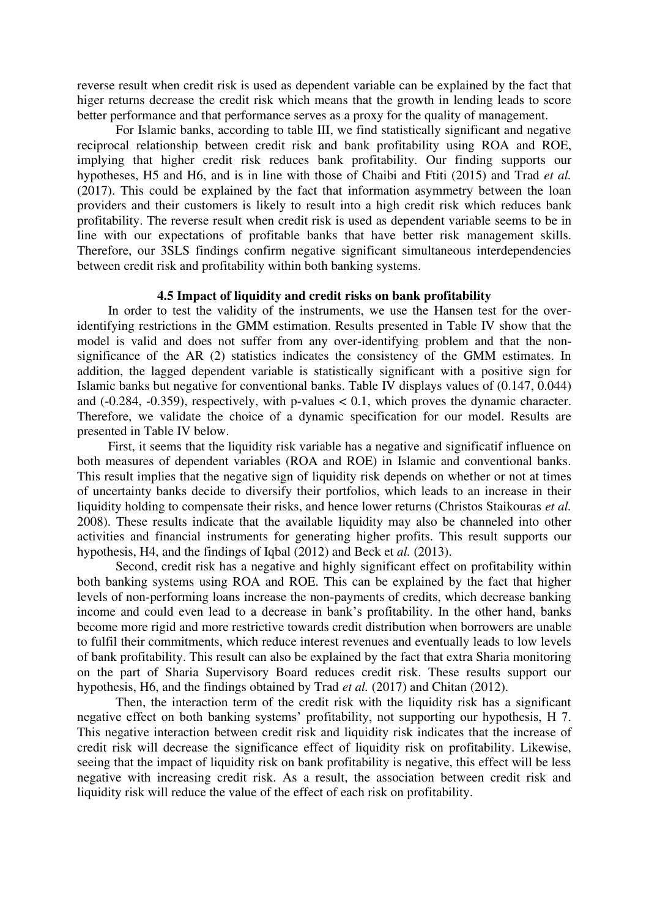reverse result when credit risk is used as dependent variable can be explained by the fact that higer returns decrease the credit risk which means that the growth in lending leads to score better performance and that performance serves as a proxy for the quality of management.

For Islamic banks, according to table III, we find statistically significant and negative reciprocal relationship between credit risk and bank profitability using ROA and ROE, implying that higher credit risk reduces bank profitability. Our finding supports our hypotheses, H5 and H6, and is in line with those of Chaibi and Ftiti (2015) and Trad *et al.* (2017). This could be explained by the fact that information asymmetry between the loan providers and their customers is likely to result into a high credit risk which reduces bank profitability. The reverse result when credit risk is used as dependent variable seems to be in line with our expectations of profitable banks that have better risk management skills. Therefore, our 3SLS findings confirm negative significant simultaneous interdependencies between credit risk and profitability within both banking systems.

### **4.5 Impact of liquidity and credit risks on bank profitability**

In order to test the validity of the instruments, we use the Hansen test for the overidentifying restrictions in the GMM estimation. Results presented in Table IV show that the model is valid and does not suffer from any over-identifying problem and that the nonsignificance of the AR (2) statistics indicates the consistency of the GMM estimates. In addition, the lagged dependent variable is statistically significant with a positive sign for Islamic banks but negative for conventional banks. Table IV displays values of (0.147, 0.044) and  $(-0.284, -0.359)$ , respectively, with p-values  $< 0.1$ , which proves the dynamic character. Therefore, we validate the choice of a dynamic specification for our model. Results are presented in Table IV below.

First, it seems that the liquidity risk variable has a negative and significatif influence on both measures of dependent variables (ROA and ROE) in Islamic and conventional banks. This result implies that the negative sign of liquidity risk depends on whether or not at times of uncertainty banks decide to diversify their portfolios, which leads to an increase in their liquidity holding to compensate their risks, and hence lower returns (Christos Staikouras *et al.* 2008). These results indicate that the available liquidity may also be channeled into other activities and financial instruments for generating higher profits. This result supports our hypothesis, H4, and the findings of Iqbal (2012) and Beck et *al.* (2013).

Second, credit risk has a negative and highly significant effect on profitability within both banking systems using ROA and ROE. This can be explained by the fact that higher levels of non-performing loans increase the non-payments of credits, which decrease banking income and could even lead to a decrease in bank's profitability. In the other hand, banks become more rigid and more restrictive towards credit distribution when borrowers are unable to fulfil their commitments, which reduce interest revenues and eventually leads to low levels of bank profitability. This result can also be explained by the fact that extra Sharia monitoring on the part of Sharia Supervisory Board reduces credit risk. These results support our hypothesis, H6, and the findings obtained by Trad *et al.* (2017) and Chitan (2012).

Then, the interaction term of the credit risk with the liquidity risk has a significant negative effect on both banking systems' profitability, not supporting our hypothesis, H 7. This negative interaction between credit risk and liquidity risk indicates that the increase of credit risk will decrease the significance effect of liquidity risk on profitability. Likewise, seeing that the impact of liquidity risk on bank profitability is negative, this effect will be less negative with increasing credit risk. As a result, the association between credit risk and liquidity risk will reduce the value of the effect of each risk on profitability.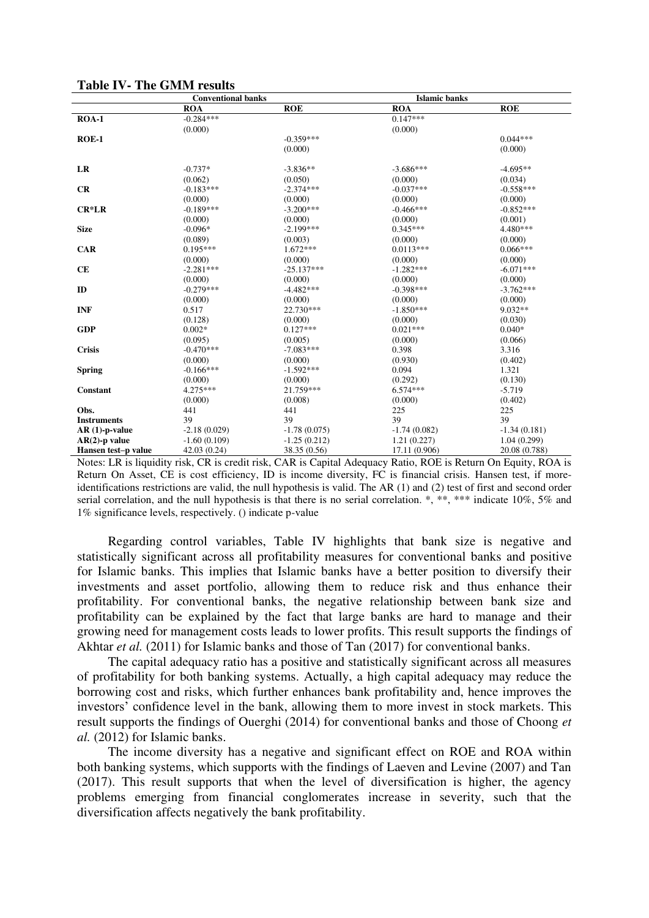|                     | <b>Conventional banks</b> |                | <b>Islamic banks</b> |                |
|---------------------|---------------------------|----------------|----------------------|----------------|
|                     | <b>ROA</b>                | <b>ROE</b>     | <b>ROA</b>           | <b>ROE</b>     |
| $ROA-1$             | $-0.284***$               |                | $0.147***$           |                |
|                     | (0.000)                   |                | (0.000)              |                |
| $ROE-1$             |                           | $-0.359***$    |                      | $0.044***$     |
|                     |                           | (0.000)        |                      | (0.000)        |
|                     |                           |                |                      |                |
| LR                  | $-0.737*$                 | $-3.836**$     | $-3.686***$          | $-4.695**$     |
|                     | (0.062)                   | (0.050)        | (0.000)              | (0.034)        |
| CR                  | $-0.183***$               | $-2.374***$    | $-0.037***$          | $-0.558***$    |
|                     | (0.000)                   | (0.000)        | (0.000)              | (0.000)        |
| $CR*LR$             | $-0.189***$               | $-3.200***$    | $-0.466***$          | $-0.852***$    |
|                     | (0.000)                   | (0.000)        | (0.000)              | (0.001)        |
| <b>Size</b>         | $-0.096*$                 | $-2.199***$    | $0.345***$           | 4.480***       |
|                     | (0.089)                   | (0.003)        | (0.000)              | (0.000)        |
| <b>CAR</b>          | $0.195***$                | $1.672***$     | $0.0113***$          | $0.066***$     |
|                     | (0.000)                   | (0.000)        | (0.000)              | (0.000)        |
| <b>CE</b>           | $-2.281***$               | $-25.137***$   | $-1.282***$          | $-6.071***$    |
|                     | (0.000)                   | (0.000)        | (0.000)              | (0.000)        |
| ID                  | $-0.279***$               | $-4.482***$    | $-0.398***$          | $-3.762***$    |
|                     | (0.000)                   | (0.000)        | (0.000)              | (0.000)        |
| <b>INF</b>          | 0.517                     | 22.730***      | $-1.850***$          | 9.032**        |
|                     | (0.128)                   | (0.000)        | (0.000)              | (0.030)        |
| <b>GDP</b>          | $0.002*$                  | $0.127***$     | $0.021***$           | $0.040*$       |
|                     | (0.095)                   | (0.005)        | (0.000)              | (0.066)        |
| <b>Crisis</b>       | $-0.470***$               | $-7.083***$    | 0.398                | 3.316          |
|                     | (0.000)                   | (0.000)        | (0.930)              | (0.402)        |
| <b>Spring</b>       | $-0.166***$               | $-1.592***$    | 0.094                | 1.321          |
|                     | (0.000)                   | (0.000)        | (0.292)              | (0.130)        |
| Constant            | $4.275***$                | 21.759***      | $6.574***$           | $-5.719$       |
|                     | (0.000)                   | (0.008)        | (0.000)              | (0.402)        |
| Obs.                | 441                       | 441            | 225                  | 225            |
| <b>Instruments</b>  | 39                        | 39             | 39                   | 39             |
| $AR(1)-p-value$     | $-2.18(0.029)$            | $-1.78(0.075)$ | $-1.74(0.082)$       | $-1.34(0.181)$ |
| $AR(2)$ -p value    | $-1.60(0.109)$            | $-1.25(0.212)$ | 1.21(0.227)          | 1.04(0.299)    |
| Hansen test-p value | 42.03 (0.24)              | 38.35 (0.56)   | 17.11 (0.906)        | 20.08 (0.788)  |

#### **Table IV- The GMM results**

Notes: LR is liquidity risk, CR is credit risk, CAR is Capital Adequacy Ratio, ROE is Return On Equity, ROA is Return On Asset, CE is cost efficiency, ID is income diversity, FC is financial crisis. Hansen test, if moreidentifications restrictions are valid, the null hypothesis is valid. The AR (1) and (2) test of first and second order serial correlation, and the null hypothesis is that there is no serial correlation. \*, \*\*, \*\*\* indicate 10%, 5% and 1% significance levels, respectively. () indicate p-value

Regarding control variables, Table IV highlights that bank size is negative and statistically significant across all profitability measures for conventional banks and positive for Islamic banks. This implies that Islamic banks have a better position to diversify their investments and asset portfolio, allowing them to reduce risk and thus enhance their profitability. For conventional banks, the negative relationship between bank size and profitability can be explained by the fact that large banks are hard to manage and their growing need for management costs leads to lower profits. This result supports the findings of Akhtar *et al.* (2011) for Islamic banks and those of Tan (2017) for conventional banks.

The capital adequacy ratio has a positive and statistically significant across all measures of profitability for both banking systems. Actually, a high capital adequacy may reduce the borrowing cost and risks, which further enhances bank profitability and, hence improves the investors' confidence level in the bank, allowing them to more invest in stock markets. This result supports the findings of Ouerghi (2014) for conventional banks and those of Choong *et al.* (2012) for Islamic banks.

The income diversity has a negative and significant effect on ROE and ROA within both banking systems, which supports with the findings of Laeven and Levine (2007) and Tan (2017). This result supports that when the level of diversification is higher, the agency problems emerging from financial conglomerates increase in severity, such that the diversification affects negatively the bank profitability.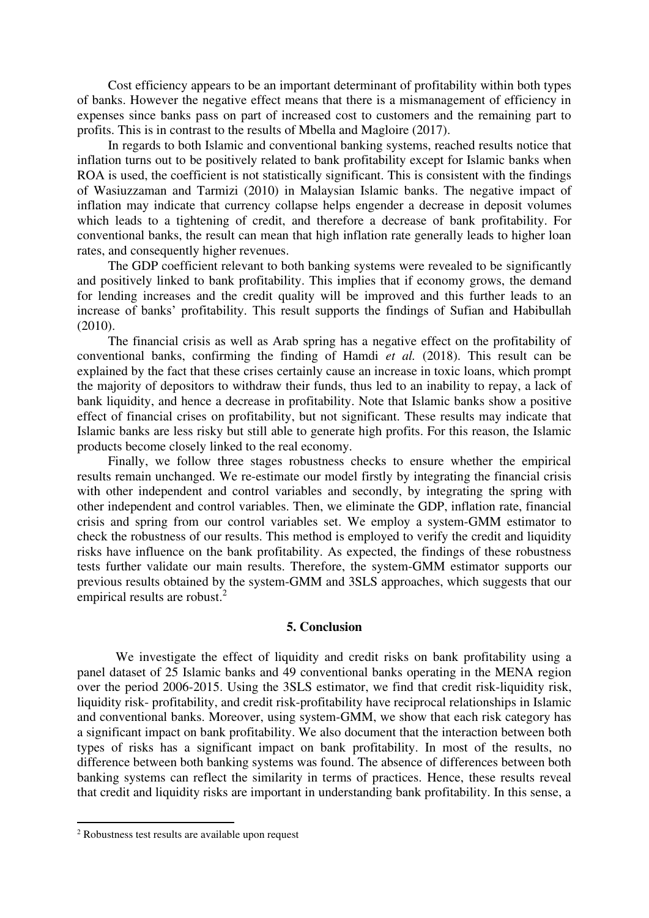Cost efficiency appears to be an important determinant of profitability within both types of banks. However the negative effect means that there is a mismanagement of efficiency in expenses since banks pass on part of increased cost to customers and the remaining part to profits. This is in contrast to the results of Mbella and Magloire (2017).

In regards to both Islamic and conventional banking systems, reached results notice that inflation turns out to be positively related to bank profitability except for Islamic banks when ROA is used, the coefficient is not statistically significant. This is consistent with the findings of Wasiuzzaman and Tarmizi (2010) in Malaysian Islamic banks. The negative impact of inflation may indicate that currency collapse helps engender a decrease in deposit volumes which leads to a tightening of credit, and therefore a decrease of bank profitability. For conventional banks, the result can mean that high inflation rate generally leads to higher loan rates, and consequently higher revenues.

The GDP coefficient relevant to both banking systems were revealed to be significantly and positively linked to bank profitability. This implies that if economy grows, the demand for lending increases and the credit quality will be improved and this further leads to an increase of banks' profitability. This result supports the findings of Sufian and Habibullah (2010).

The financial crisis as well as Arab spring has a negative effect on the profitability of conventional banks, confirming the finding of Hamdi *et al.* (2018). This result can be explained by the fact that these crises certainly cause an increase in toxic loans, which prompt the majority of depositors to withdraw their funds, thus led to an inability to repay, a lack of bank liquidity, and hence a decrease in profitability. Note that Islamic banks show a positive effect of financial crises on profitability, but not significant. These results may indicate that Islamic banks are less risky but still able to generate high profits. For this reason, the Islamic products become closely linked to the real economy.

Finally, we follow three stages robustness checks to ensure whether the empirical results remain unchanged. We re-estimate our model firstly by integrating the financial crisis with other independent and control variables and secondly, by integrating the spring with other independent and control variables. Then, we eliminate the GDP, inflation rate, financial crisis and spring from our control variables set. We employ a system-GMM estimator to check the robustness of our results. This method is employed to verify the credit and liquidity risks have influence on the bank profitability. As expected, the findings of these robustness tests further validate our main results. Therefore, the system-GMM estimator supports our previous results obtained by the system-GMM and 3SLS approaches, which suggests that our empirical results are robust.<sup>2</sup>

#### **5. Conclusion**

We investigate the effect of liquidity and credit risks on bank profitability using a panel dataset of 25 Islamic banks and 49 conventional banks operating in the MENA region over the period 2006-2015. Using the 3SLS estimator, we find that credit risk-liquidity risk, liquidity risk- profitability, and credit risk-profitability have reciprocal relationships in Islamic and conventional banks. Moreover, using system-GMM, we show that each risk category has a significant impact on bank profitability. We also document that the interaction between both types of risks has a significant impact on bank profitability. In most of the results, no difference between both banking systems was found. The absence of differences between both banking systems can reflect the similarity in terms of practices. Hence, these results reveal that credit and liquidity risks are important in understanding bank profitability. In this sense, a

<sup>2</sup> Robustness test results are available upon request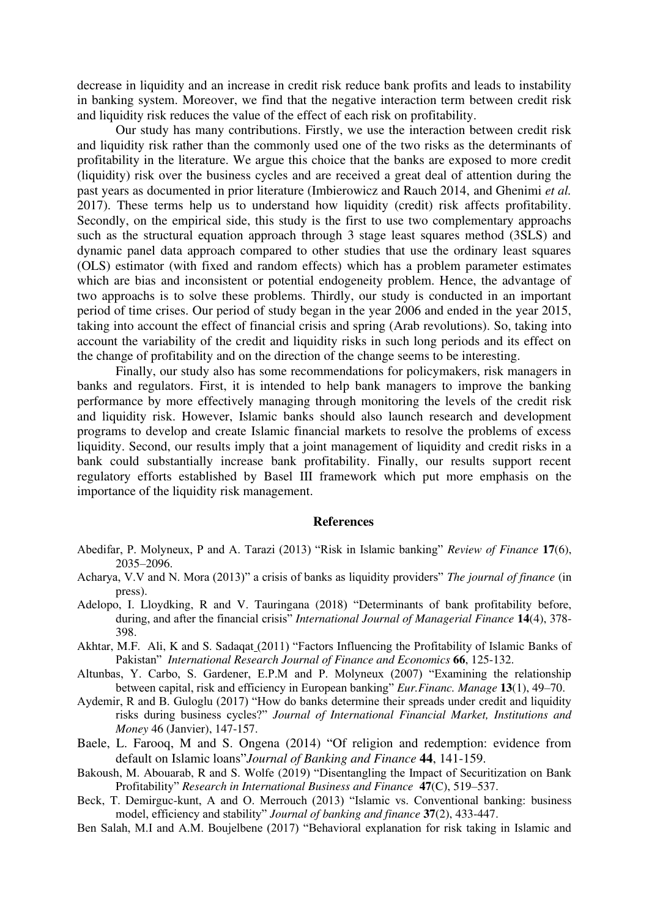decrease in liquidity and an increase in credit risk reduce bank profits and leads to instability in banking system. Moreover, we find that the negative interaction term between credit risk and liquidity risk reduces the value of the effect of each risk on profitability.

Our study has many contributions. Firstly, we use the interaction between credit risk and liquidity risk rather than the commonly used one of the two risks as the determinants of profitability in the literature. We argue this choice that the banks are exposed to more credit (liquidity) risk over the business cycles and are received a great deal of attention during the past years as documented in prior literature (Imbierowicz and Rauch 2014, and Ghenimi *et al.* 2017). These terms help us to understand how liquidity (credit) risk affects profitability. Secondly, on the empirical side, this study is the first to use two complementary approachs such as the structural equation approach through 3 stage least squares method (3SLS) and dynamic panel data approach compared to other studies that use the ordinary least squares (OLS) estimator (with fixed and random effects) which has a problem parameter estimates which are bias and inconsistent or potential endogeneity problem. Hence, the advantage of two approachs is to solve these problems. Thirdly, our study is conducted in an important period of time crises. Our period of study began in the year 2006 and ended in the year 2015, taking into account the effect of financial crisis and spring (Arab revolutions). So, taking into account the variability of the credit and liquidity risks in such long periods and its effect on the change of profitability and on the direction of the change seems to be interesting.

 Finally, our study also has some recommendations for policymakers, risk managers in banks and regulators. First, it is intended to help bank managers to improve the banking performance by more effectively managing through monitoring the levels of the credit risk and liquidity risk. However, Islamic banks should also launch research and development programs to develop and create Islamic financial markets to resolve the problems of excess liquidity. Second, our results imply that a joint management of liquidity and credit risks in a bank could substantially increase bank profitability. Finally, our results support recent regulatory efforts established by Basel III framework which put more emphasis on the importance of the liquidity risk management.

#### **References**

- Abedifar, P. Molyneux, P and A. Tarazi (2013) "Risk in Islamic banking" *Review of Finance* **17**(6), 2035–2096.
- Acharya, V.V and N. Mora (2013)" a crisis of banks as liquidity providers" *The journal of finance* (in press).
- Adelopo, I. Lloydking, R and V. Tauringana (2018) "Determinants of bank profitability before, during, and after the financial crisis" *International Journal of Managerial Finance* **14**(4), 378- 398.
- [Akhtar,](https://www.researchgate.net/scientific-contributions/60022213_Muhammad_Farhan_Akhtar) M.F. [Ali,](https://www.researchgate.net/scientific-contributions/64812839_Khizer_Ali) K and S. [Sadaqat](https://www.researchgate.net/scientific-contributions/67871190_Shama_Sadaqat) (2011) "Factors Influencing the Profitability of Islamic Banks of Pakistan" *[International Research Journal of Finance and Economics](https://www.researchgate.net/journal/1450-2887_International_Research_Journal_of_Finance_and_Economics)* **66**, 125-132.
- Altunbas, Y. Carbo, S. Gardener, E.P.M and P. Molyneux (2007) "Examining the relationship between capital, risk and efficiency in European banking" *Eur.Financ. Manage* **13**(1), 49–70.
- Aydemir, R and B. Guloglu (2017) "How do banks determine their spreads under credit and liquidity risks during business cycles?" *Journal of International Financial Market, Institutions and Money* 46 (Janvier), 147-157.
- Baele, L. Farooq, M and S. Ongena (2014) "Of religion and redemption: evidence from default on Islamic loans"*Journal of Banking and Finance* **44**, 141-159.
- Bakoush, M. Abouarab, R and S. Wolfe (2019) "Disentangling the Impact of Securitization on Bank Profitability" *[Research in International Business and Finance](https://www.researchgate.net/journal/0275-5319_Research_in_International_Business_and_Finance)* **47**(C), 519–537.
- Beck, T. Demirguc-kunt, A and O. Merrouch (2013) "Islamic vs. Conventional banking: business model, efficiency and stability" *Journal of banking and finance* **37**(2), 433-447.
- Ben Salah, M.I and A.M. Boujelbene (2017) "Behavioral explanation for risk taking in Islamic and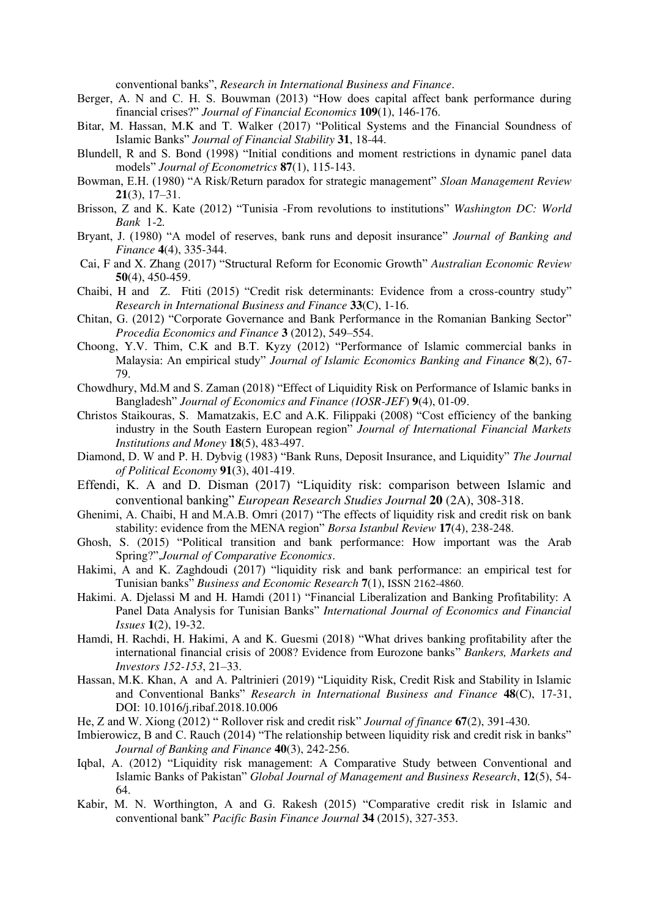conventional banks", *Research in International Business and Finance*.

- Berger, A. N and C. H. S. Bouwman (2013) "How does capital affect bank performance during financial crises?" *Journal of Financial Economics* **109**(1), 146-176.
- Bitar, M. Hassan, M.K and T. Walker (2017) "Political Systems and the Financial Soundness of Islamic Banks" *[Journal of Financial Stability](https://www.researchgate.net/journal/1572-3089_Journal_of_Financial_Stability)* **31**, 18-44.
- Blundell, R and S. Bond (1998) "Initial conditions and moment restrictions in dynamic panel data models" *Journal of Econometrics* **87**(1), 115-143.
- Bowman, E.H. (1980) "A Risk/Return paradox for strategic management" *Sloan Management Review*  **21**(3), 17–31.
- Brisson, Z and K. Kate (2012) "Tunisia -From revolutions to institutions" *Washington DC: World Bank* 1-2*.*
- Bryant, J. (1980) "A model of reserves, bank runs and deposit insurance" *Journal of Banking and Finance* **4**(4), 335-344.
- [Cai,](https://papers.ssrn.com/sol3/cf_dev/AbsByAuth.cfm?per_id=363937) F and X. [Zhang](https://papers.ssrn.com/sol3/cf_dev/AbsByAuth.cfm?per_id=1324837) (2017) "Structural Reform for Economic Growth" *Australian Economic Review* **50**(4), 450-459.
- Chaibi, H and Z. [Ftiti](https://econpapers.repec.org/RAS/pft1.htm) (2015) "Credit risk determinants: Evidence from a cross-country study" *[Research in International Business and Finance](https://econpapers.repec.org/article/eeeriibaf/)* **33**(C), 1-16.
- [Chitan](https://www.researchgate.net/scientific-contributions/2026907707_Gheorghe_Chitan), G. (2012) "Corporate Governance and Bank Performance in the Romanian Banking Sector" *[Procedia Economics and Finance](https://www.researchgate.net/journal/2212-5671_Procedia_Economics_and_Finance)* **3** (2012), 549–554.
- Choong, Y.V. Thim, C.K and B.T. Kyzy (2012) "Performance of Islamic commercial banks in Malaysia: An empirical study" *Journal of Islamic Economics Banking and Finance* **8**(2), 67- 79.
- Chowdhury, Md.M and S. Zaman (2018) "Effect of Liquidity Risk on Performance of Islamic banks in Bangladesh" *Journal of Economics and Finance (IOSR-JEF*) **9**(4), 01-09.
- [Christos Staikouras,](https://www.researchgate.net/profile/Christos_Staikouras) S. [Mamatzakis,](https://www.researchgate.net/profile/Emmanuel_Mamatzakis) E.C and A.K. [Filippaki](https://www.researchgate.net/scientific-contributions/33439946_Anastasia_Koutsomanoli-Filippaki) (2008) "Cost efficiency of the banking industry in the South Eastern European region" *[Journal of International Financial Markets](https://www.researchgate.net/journal/1042-4431_Journal_of_International_Financial_Markets_Institutions_and_Money)  [Institutions and Money](https://www.researchgate.net/journal/1042-4431_Journal_of_International_Financial_Markets_Institutions_and_Money)* **18**(5), 483-497.
- Diamond, D. W and P. H. Dybvig (1983) "Bank Runs, Deposit Insurance, and Liquidity" *The Journal of Political Economy* **91**(3), 401-419.
- Effendi, K. A and D. Disman (2017) "Liquidity risk: comparison between Islamic and conventional banking" *European Research Studies Journal* **20** (2A), 308-318.
- Ghenimi, A. Chaibi, H and M.A.B. Omri (2017) "The effects of liquidity risk and credit risk on bank stability: evidence from the MENA region" *Borsa Istanbul Review* **17**(4), 238-248.
- Ghosh, S. (2015) "Political transition and bank performance: How important was the Arab Spring?",*Journal of Comparative Economics*.
- Hakimi, A and K. Zaghdoudi (2017) "liquidity risk and bank performance: an empirical test for Tunisian banks" *Business and Economic Research* **7**(1), ISSN 2162-4860.
- Hakimi. A. Djelassi M and H. Hamdi (2011) "Financial Liberalization and Banking Profitability: A Panel Data Analysis for Tunisian Banks" *International Journal of Economics and Financial Issues* **1**(2), 19-32.
- Hamdi, H. Rachdi, H. Hakimi, A and K. Guesmi (2018) "What drives banking profitability after the international financial crisis of 2008? Evidence from Eurozone banks" *Bankers, Markets and Investors 152-153*, 21–33.
- [Hassan,](https://www.researchgate.net/profile/M_Kabir_Hassan) M.K. [Khan,](https://www.researchgate.net/profile/Ashraf_Khan23) A [and](https://www.researchgate.net/profile/Andrea_Paltrinieri2) A. Paltrinieri (2019) "Liquidity Risk, Credit Risk and Stability in Islamic and Conventional Banks" *[Research in International Business and Finance](https://www.researchgate.net/journal/0275-5319_Research_in_International_Business_and_Finance)* **48**(C), 17-31, DOI: [10.1016/j.ribaf.2018.10.006](http://dx.doi.org/10.1016/j.ribaf.2018.10.006)
- He, Z and W. Xiong (2012) " Rollover risk and credit risk" *Journal of finance* **67**(2), 391-430.
- Imbierowicz, B and C. Rauch (2014) "The relationship between liquidity risk and credit risk in banks" *Journal of Banking and Finance* **40**(3), 242-256.
- Iqbal, A. (2012) "Liquidity risk management: A Comparative Study between Conventional and Islamic Banks of Pakistan" *Global Journal of Management and Business Research*, **12**(5), 54- 64.
- Kabir, M. N. Worthington, A and G. Rakesh (2015) "Comparative credit risk in Islamic and conventional bank" *Pacific Basin Finance Journal* **34** (2015), 327-353.